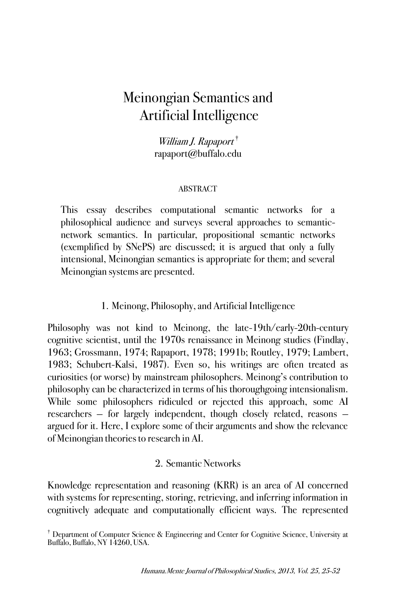# Meinongian Semantics and Artificial Intelligence

William J. Rapaport † rapaport@buffalo.edu

### ABSTRACT

This essay describes computational semantic networks for a philosophical audience and surveys several approaches to semanticnetwork semantics. In particular, propositional semantic networks (exemplified by SNePS) are discussed; it is argued that only a fully intensional, Meinongian semantics is appropriate for them; and several Meinongian systems are presented.

# 1. Meinong, Philosophy, and Artificial Intelligence

Philosophy was not kind to Meinong, the late-19th/early-20th-century cognitive scientist, until the 1970s renaissance in Meinong studies (Findlay, 1963; Grossmann, 1974; Rapaport, 1978; 1991b; Routley, 1979; Lambert, 1983; Schubert-Kalsi, 1987). Even so, his writings are often treated as curiosities (or worse) by mainstream philosophers. Meinong's contribution to philosophy can be characterized in terms of his thoroughgoing intensionalism. While some philosophers ridiculed or rejected this approach, some AI researchers — for largely independent, though closely related, reasons argued for it. Here, I explore some of their arguments and show the relevance of Meinongian theories to research in AI.

## 2. Semantic Networks

Knowledge representation and reasoning (KRR) is an area of AI concerned with systems for representing, storing, retrieving, and inferring information in cognitively adequate and computationally efficient ways. The represented

<sup>&</sup>lt;sup>†</sup> Department of Computer Science & Engineering and Center for Cognitive Science, University at Buffalo, Buffalo, NY 14260, USA.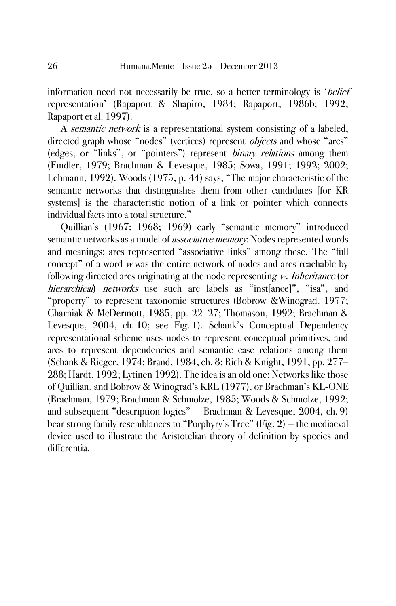information need not necessarily be true, so a better terminology is 'belief representation' (Rapaport & Shapiro, 1984; Rapaport, 1986b; 1992; Rapaport et al. 1997).

A semantic network is a representational system consisting of a labeled, directed graph whose "nodes" (vertices) represent *objects* and whose "arcs" (edges, or "links", or "pointers") represent binary relations among them (Findler, 1979; Brachman & Levesque, 1985; Sowa, 1991; 1992; 2002; Lehmann, 1992). Woods (1975, p. 44) says, "The major characteristic of the semantic networks that distinguishes them from other candidates [for KR systems] is the characteristic notion of a link or pointer which connects individual facts into a total structure."

Quillian's (1967; 1968; 1969) early "semantic memory" introduced semantic networks as a model of *associative memory*: Nodes represented words and meanings; arcs represented "associative links" among these. The "full concept" of a word <sup>w</sup> was the entire network of nodes and arcs reachable by following directed arcs originating at the node representing w. *Inheritance* (or hierarchical) networks use such arc labels as "instlance]", "isa", and "property" to represent taxonomic structures (Bobrow &Winograd, 1977; Charniak & McDermott, 1985, pp. 22–27; Thomason, 1992; Brachman & Levesque, 2004, ch. 10; see Fig. 1). Schank's Conceptual Dependency representational scheme uses nodes to represent conceptual primitives, and arcs to represent dependencies and semantic case relations among them (Schank & Rieger, 1974; Brand, 1984, ch. 8; Rich & Knight, 1991, pp. 277– 288; Hardt, 1992; Lytinen 1992). The idea is an old one: Networks like those of Quillian, and Bobrow & Winograd's KRL (1977), or Brachman's KL-ONE (Brachman, 1979; Brachman & Schmolze, 1985; Woods & Schmolze, 1992; and subsequent "description logics" — Brachman & Levesque, 2004, ch. 9) bear strong family resemblances to "Porphyry's Tree" (Fig. 2) — the mediaeval device used to illustrate the Aristotelian theory of definition by species and differentia.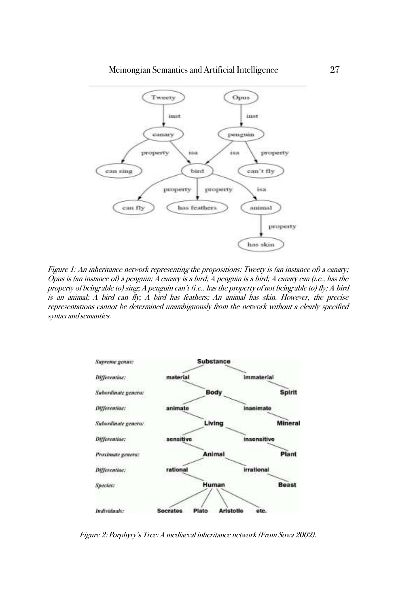

Figure 1: An inheritance network representing the propositions: Tweety is (an instance of) a canary; Opus is (an instance of) a penguin; A canary is a bird; A penguin is a bird; A canary can (i.e., has the property of being able to) sing; A penguin can't (i.e., has the property of not being able to) fly; A bird is an animal; A bird can fly; A bird has feathers; An animal has skin. However, the precise representations cannot be determined unambiguously from the network without a clearly specified syntax and semantics.



Figure 2: Porphyry's Tree: A mediaeval inheritance network (From Sowa 2002).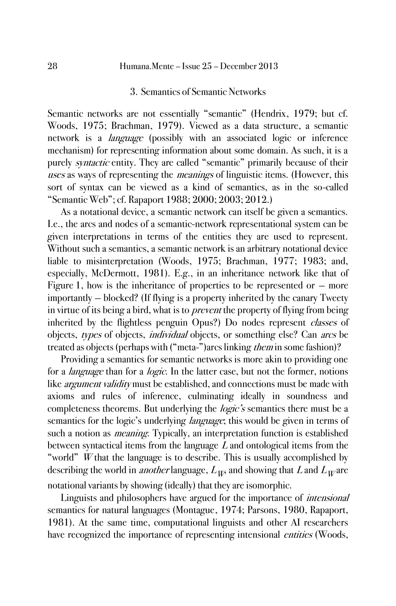### 3. Semantics of Semantic Networks

Semantic networks are not essentially "semantic" (Hendrix, 1979; but cf. Woods, 1975; Brachman, 1979). Viewed as a data structure, a semantic network is a *language* (possibly with an associated logic or inference mechanism) for representing information about some domain. As such, it is a purely *syntactic* entity. They are called "semantic" primarily because of their uses as ways of representing the *meanings* of linguistic items. (However, this sort of syntax can be viewed as a kind of semantics, as in the so-called "Semantic Web"; cf. Rapaport 1988; 2000; 2003; 2012.)

As a notational device, a semantic network can itself be given a semantics. I.e., the arcs and nodes of a semantic-network representational system can be given interpretations in terms of the entities they are used to represent. Without such a semantics, a semantic network is an arbitrary notational device liable to misinterpretation (Woods, 1975; Brachman, 1977; 1983; and, especially, McDermott, 1981). E.g., in an inheritance network like that of Figure 1, how is the inheritance of properties to be represented or  $-$  more importantly — blocked? (If flying is a property inherited by the canary Tweety in virtue of its being a bird, what is to *prevent* the property of flying from being inherited by the flightless penguin Opus?) Do nodes represent classes of objects, types of objects, *individual* objects, or something else? Can *arcs* be treated as objects (perhaps with ("meta-")arcs linking *them* in some fashion)?

Providing a semantics for semantic networks is more akin to providing one for a *language* than for a *logic*. In the latter case, but not the former, notions like *argument validity* must be established, and connections must be made with axioms and rules of inference, culminating ideally in soundness and completeness theorems. But underlying the *logic's* semantics there must be a semantics for the logic's underlying *language*; this would be given in terms of such a notion as *meaning*. Typically, an interpretation function is established between syntactical items from the language  $L$  and ontological items from the "world" W that the language is to describe. This is usually accomplished by describing the world in *another* language,  $L_{W}$  and showing that L and  $L_{W}$  are notational variants by showing (ideally) that they are isomorphic.

Linguists and philosophers have argued for the importance of intensional semantics for natural languages (Montague, 1974; Parsons, 1980, Rapaport, 1981). At the same time, computational linguists and other AI researchers have recognized the importance of representing intensional *entities* (Woods,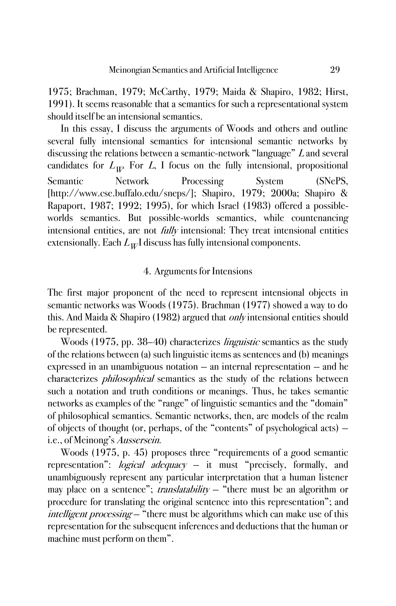1975; Brachman, 1979; McCarthy, 1979; Maida & Shapiro, 1982; Hirst, 1991). It seems reasonable that a semantics for such a representational system should itself be an intensional semantics.

In this essay, I discuss the arguments of Woods and others and outline several fully intensional semantics for intensional semantic networks by discussing the relations between a semantic-network "language" L and several candidates for  $L_{W}$ . For L, I focus on the fully intensional, propositional Semantic Network Processing System (SNePS, [http://www.cse.buffalo.edu/sneps/]; Shapiro, 1979; 2000a; Shapiro & Rapaport, 1987; 1992; 1995), for which Israel (1983) offered a possibleworlds semantics. But possible-worlds semantics, while countenancing intensional entities, are not *fully* intensional: They treat intensional entities extensionally. Each  $L_{W}$ I discuss has fully intensional components.

### 4. Arguments for Intensions

The first major proponent of the need to represent intensional objects in semantic networks was Woods (1975). Brachman (1977) showed a way to do this. And Maida & Shapiro (1982) argued that *only* intensional entities should be represented.

Woods (1975, pp. 38–40) characterizes linguistic semantics as the study of the relations between (a) such linguistic items as sentences and (b) meanings expressed in an unambiguous notation — an internal representation — and he characterizes philosophical semantics as the study of the relations between such a notation and truth conditions or meanings. Thus, he takes semantic networks as examples of the "range" of linguistic semantics and the "domain" of philosophical semantics. Semantic networks, then, are models of the realm of objects of thought (or, perhaps, of the "contents" of psychological acts) i.e., of Meinong's Aussersein.

Woods (1975, p. 45) proposes three "requirements of a good semantic representation": *logical adequacy* – it must "precisely, formally, and unambiguously represent any particular interpretation that a human listener may place on a sentence"; *translatability*  $-$  "there must be an algorithm or procedure for translating the original sentence into this representation"; and intelligent processing — "there must be algorithms which can make use of this representation for the subsequent inferences and deductions that the human or machine must perform on them".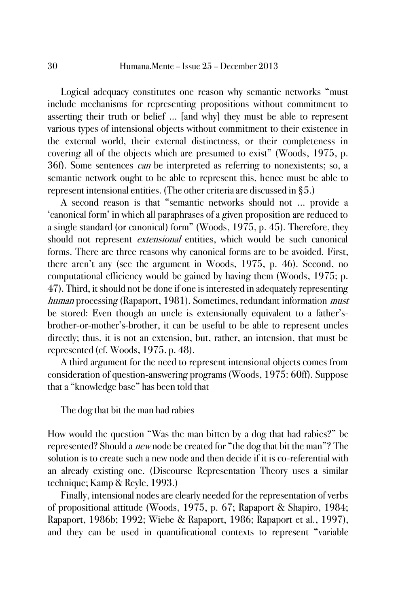Logical adequacy constitutes one reason why semantic networks "must include mechanisms for representing propositions without commitment to asserting their truth or belief … [and why] they must be able to represent various types of intensional objects without commitment to their existence in the external world, their external distinctness, or their completeness in covering all of the objects which are presumed to exist" (Woods, 1975, p. 36f). Some sentences *can* be interpreted as referring to nonexistents; so, a semantic network ought to be able to represent this, hence must be able to represent intensional entities. (The other criteria are discussed in §5.)

A second reason is that "semantic networks should not ... provide a 'canonical form' in which all paraphrases of a given proposition are reduced to a single standard (or canonical) form" (Woods, 1975, p. 45). Therefore, they should not represent *extensional* entities, which would be such canonical forms. There are three reasons why canonical forms are to be avoided. First, there aren't any (see the argument in Woods, 1975, p. 46). Second, no computational efficiency would be gained by having them (Woods, 1975; p. 47). Third, it should not be done if one is interested in adequately representing human processing (Rapaport, 1981). Sometimes, redundant information *must* be stored: Even though an uncle is extensionally equivalent to a father'sbrother-or-mother's-brother, it can be useful to be able to represent uncles directly; thus, it is not an extension, but, rather, an intension, that must be represented (cf. Woods, 1975, p. 48).

A third argument for the need to represent intensional objects comes from consideration of question-answering programs (Woods, 1975: 60ff). Suppose that a "knowledge base" has been told that

The dog that bit the man had rabies

How would the question "Was the man bitten by a dog that had rabies?" be represented? Should a *new* node be created for "the dog that bit the man"? The solution is to create such a new node and then decide if it is co-referential with an already existing one. (Discourse Representation Theory uses a similar technique; Kamp & Reyle, 1993.)

Finally, intensional nodes are clearly needed for the representation of verbs of propositional attitude (Woods, 1975, p. 67; Rapaport & Shapiro, 1984; Rapaport, 1986b; 1992; Wiebe & Rapaport, 1986; Rapaport et al., 1997), and they can be used in quantificational contexts to represent "variable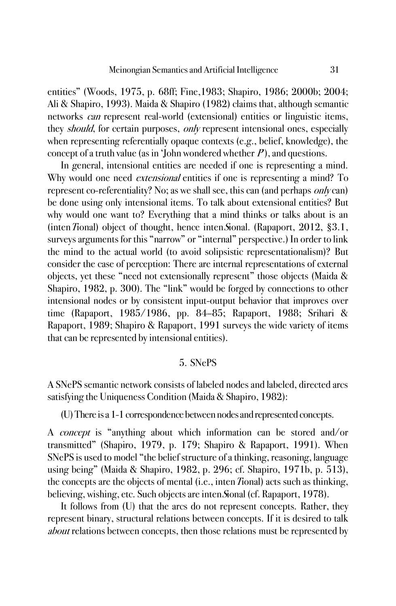entities" (Woods, 1975, p. 68ff; Fine,1983; Shapiro, 1986; 2000b; 2004; Ali & Shapiro, 1993). Maida & Shapiro (1982) claims that, although semantic networks can represent real-world (extensional) entities or linguistic items, they *should*, for certain purposes, *only* represent intensional ones, especially when representing referentially opaque contexts (e.g., belief, knowledge), the concept of a truth value (as in 'John wondered whether  $P$ ), and questions.

In general, intensional entities are needed if one is representing a mind. Why would one need *extensional* entities if one is representing a mind? To represent co-referentiality? No; as we shall see, this can (and perhaps *only* can) be done using only intensional items. To talk about extensional entities? But why would one want to? Everything that a mind thinks or talks about is an (inten Tional) object of thought, hence inten Sional. (Rapaport,  $2012$ ,  $\S 3.1$ , surveys arguments for this "narrow" or "internal" perspective.) In order to link the mind to the actual world (to avoid solipsistic representationalism)? But consider the case of perception: There are internal representations of external objects, yet these "need not extensionally represent" those objects (Maida & Shapiro, 1982, p. 300). The "link" would be forged by connections to other intensional nodes or by consistent input-output behavior that improves over time (Rapaport, 1985/1986, pp. 84–85; Rapaport, 1988; Srihari & Rapaport, 1989; Shapiro & Rapaport, 1991 surveys the wide variety of items that can be represented by intensional entities).

### 5. SNePS

A SNePS semantic network consists of labeled nodes and labeled, directed arcs satisfying the Uniqueness Condition (Maida & Shapiro, 1982):

(U) There is a 1-1 correspondence between nodes and represented concepts.

A concept is "anything about which information can be stored and/or transmitted" (Shapiro, 1979, p. 179; Shapiro & Rapaport, 1991). When SNePS is used to model "the belief structure of a thinking, reasoning, language using being" (Maida & Shapiro, 1982, p. 296; cf. Shapiro, 1971b, p. 513), the concepts are the objects of mental (i.e., intenTional) acts such as thinking, believing, wishing, etc. Such objects are inten Sional (cf. Rapaport, 1978).

It follows from (U) that the arcs do not represent concepts. Rather, they represent binary, structural relations between concepts. If it is desired to talk about relations between concepts, then those relations must be represented by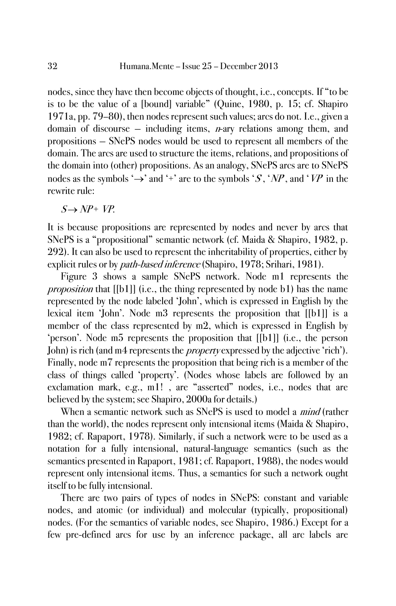nodes, since they have then become objects of thought, i.e., concepts. If "to be is to be the value of a [bound] variable" (Quine, 1980, p. 15; cf. Shapiro 1971a, pp. 79–80), then nodes represent such values; arcs do not. I.e., given a domain of discourse  $-$  including items, *n*-ary relations among them, and propositions — SNePS nodes would be used to represent all members of the domain. The arcs are used to structure the items, relations, and propositions of the domain into (other) propositions. As an analogy, SNePS arcs are to SNePS nodes as the symbols ' $\rightarrow$ ' and '+' are to the symbols 'S, 'NP, and 'VP' in the rewrite rule:

 $S \rightarrow NP + VP$ 

It is because propositions are represented by nodes and never by arcs that SNePS is a "propositional" semantic network (cf. Maida & Shapiro, 1982, p. 292). It can also be used to represent the inheritability of properties, either by explicit rules or by *path-based inference* (Shapiro, 1978; Srihari, 1981).

Figure 3 shows a sample SNePS network. Node m1 represents the proposition that [[b1]] (i.e., the thing represented by node b1) has the name represented by the node labeled 'John', which is expressed in English by the lexical item 'John'. Node m3 represents the proposition that [[b1]] is a member of the class represented by m2, which is expressed in English by 'person'. Node m5 represents the proposition that [[b1]] (i.e., the person John) is rich (and m4 represents the *property* expressed by the adjective 'rich'). Finally, node m7 represents the proposition that being rich is a member of the class of things called 'property'. (Nodes whose labels are followed by an exclamation mark, e.g., m1! , are "asserted" nodes, i.e., nodes that are believed by the system; see Shapiro, 2000a for details.)

When a semantic network such as SNePS is used to model a *mind* (rather than the world), the nodes represent only intensional items (Maida & Shapiro, 1982; cf. Rapaport, 1978). Similarly, if such a network were to be used as a notation for a fully intensional, natural-language semantics (such as the semantics presented in Rapaport, 1981; cf. Rapaport, 1988), the nodes would represent only intensional items. Thus, a semantics for such a network ought itself to be fully intensional.

There are two pairs of types of nodes in SNePS: constant and variable nodes, and atomic (or individual) and molecular (typically, propositional) nodes. (For the semantics of variable nodes, see Shapiro, 1986.) Except for a few pre-defined arcs for use by an inference package, all arc labels are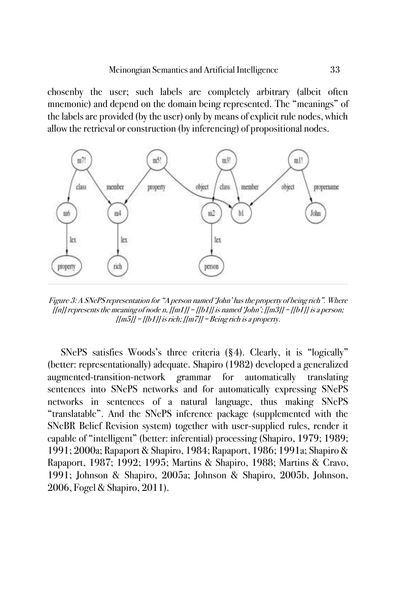chosenby the user; such labels are completely arbitrary (albeit often mnemonic) and depend on the domain being represented. The "meanings" of the labels are provided (by the user) only by means of explicit rule nodes, which allow the retrieval or construction (by inferencing) of propositional nodes.



Figure 3: A SNePS representation for "A person named 'John' has the property of being rich". Where  $[[n]]$  represents the meaning of node n,  $[[m1]] = [[b1]]$  is named 'John';  $[[m3]] = [[b1]]$  is a person;  $\left| \frac{f}{m} \right| = \frac{f}{b} 1$  is rich;  $\left| \frac{f}{m} \right| =$  Being rich is a property.

SNePS satisfies Woods's three criteria (§4). Clearly, it is "logically" (better: representationally) adequate. Shapiro (1982) developed a generalized augmented-transition-network grammar for automatically translating sentences into SNePS networks and for automatically expressing SNePS networks in sentences of a natural language, thus making SNePS "translatable". And the SNePS inference package (supplemented with the SNeBR Belief Revision system) together with user-supplied rules, render it capable of "intelligent" (better: inferential) processing (Shapiro, 1979; 1989; 1991; 2000a; Rapaport & Shapiro, 1984; Rapaport, 1986; 1991a; Shapiro & Rapaport, 1987; 1992; 1995; Martins & Shapiro, 1988; Martins & Cravo, 1991; Johnson & Shapiro, 2005a; Johnson & Shapiro, 2005b, Johnson, 2006, Fogel & Shapiro, 2011).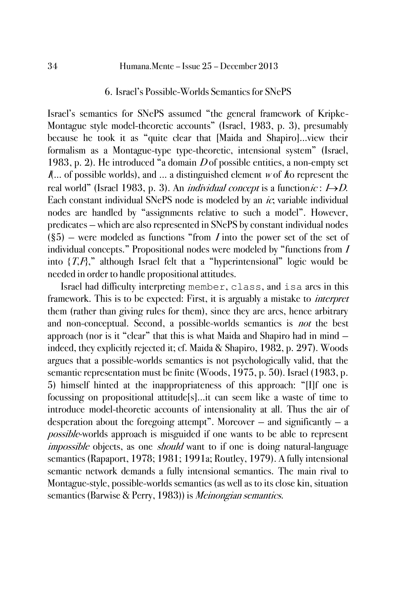### 6. Israel's Possible-Worlds Semantics for SNePS

Israel's semantics for SNePS assumed "the general framework of Kripke-Montague style model-theoretic accounts" (Israel, 1983, p. 3), presumably because he took it as "quite clear that [Maida and Shapiro]...view their formalism as a Montague-type type-theoretic, intensional system" (Israel, 1983, p. 2). He introduced "a domain  $D$  of possible entities, a non-empty set  $\mathbf{I}$ ... of possible worlds), and ... a distinguished element w of  $\mathbf{I}$  to represent the real world" (Israel 1983, p. 3). An *individual concept* is a function *ic* :  $I\rightarrow D$ . Each constant individual SNePS node is modeled by an  $ic$ , variable individual nodes are handled by "assignments relative to such a model". However, predicates — which are also represented in SNePS by constant individual nodes  $(\S5)$  – were modeled as functions "from *I* into the power set of the set of individual concepts." Propositional nodes were modeled by "functions from <sup>I</sup> into  $\{T,F\}$ ," although Israel felt that a "hyperintensional" logic would be needed in order to handle propositional attitudes.

Israel had difficulty interpreting member, class, and isa arcs in this framework. This is to be expected: First, it is arguably a mistake to *interpret* them (rather than giving rules for them), since they are arcs, hence arbitrary and non-conceptual. Second, a possible-worlds semantics is *not* the best approach (nor is it "clear" that this is what Maida and Shapiro had in mind indeed, they explicitly rejected it; cf. Maida & Shapiro, 1982, p. 297). Woods argues that a possible-worlds semantics is not psychologically valid, that the semantic representation must be finite (Woods, 1975, p. 50). Israel (1983, p. 5) himself hinted at the inappropriateness of this approach: "[I]f one is focussing on propositional attitude[s]...it can seem like a waste of time to introduce model-theoretic accounts of intensionality at all. Thus the air of desperation about the foregoing attempt". Moreover  $-$  and significantly  $-$  a possible-worlds approach is misguided if one wants to be able to represent impossible objects, as one should want to if one is doing natural-language semantics (Rapaport, 1978; 1981; 1991a; Routley, 1979). A fully intensional semantic network demands a fully intensional semantics. The main rival to Montague-style, possible-worlds semantics (as well as to its close kin, situation semantics (Barwise & Perry, 1983)) is *Meinongian semantics*.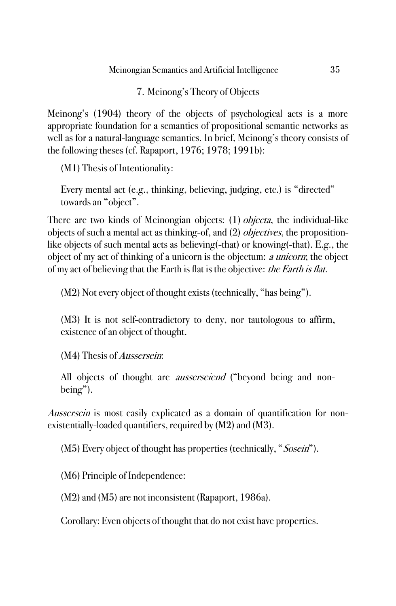# 7. Meinong's Theory of Objects

Meinong's (1904) theory of the objects of psychological acts is a more appropriate foundation for a semantics of propositional semantic networks as well as for a natural-language semantics. In brief, Meinong's theory consists of the following theses (cf. Rapaport, 1976; 1978; 1991b):

(M1) Thesis of Intentionality:

Every mental act (e.g., thinking, believing, judging, etc.) is "directed" towards an "object".

There are two kinds of Meinongian objects: (1) *objecta*, the individual-like objects of such a mental act as thinking-of, and (2) *objectives*, the propositionlike objects of such mental acts as believing(-that) or knowing(-that). E.g., the object of my act of thinking of a unicorn is the objectum: a unicorn; the object of my act of believing that the Earth is flat is the objective: *the Earth is flat.* 

(M2) Not every object of thought exists (technically, "has being").

(M3) It is not self-contradictory to deny, nor tautologous to affirm, existence of an object of thought.

(M4) Thesis of Aussersein:

All objects of thought are *ausserseiend* ("beyond being and nonbeing").

Aussersein is most easily explicated as a domain of quantification for nonexistentially-loaded quantifiers, required by (M2) and (M3).

(M5) Every object of thought has properties (technically, "Sosein").

(M6) Principle of Independence:

(M2) and (M5) are not inconsistent (Rapaport, 1986a).

Corollary: Even objects of thought that do not exist have properties.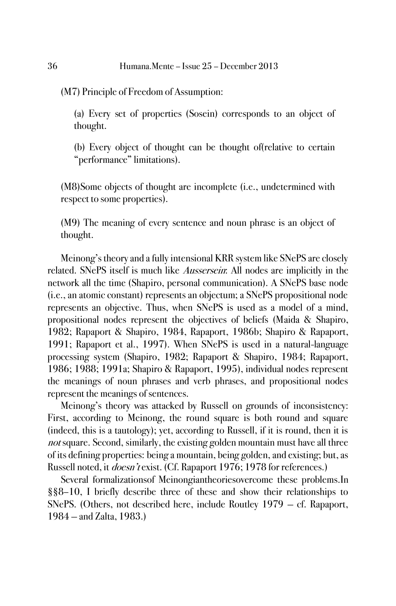(M7) Principle of Freedom of Assumption:

(a) Every set of properties (Sosein) corresponds to an object of thought.

(b) Every object of thought can be thought of(relative to certain "performance" limitations).

(M8)Some objects of thought are incomplete (i.e., undetermined with respect to some properties).

(M9) The meaning of every sentence and noun phrase is an object of thought.

Meinong's theory and a fully intensional KRR system like SNePS are closely related. SNePS itself is much like *Aussersein*: All nodes are implicitly in the network all the time (Shapiro, personal communication). A SNePS base node (i.e., an atomic constant) represents an objectum; a SNePS propositional node represents an objective. Thus, when SNePS is used as a model of a mind, propositional nodes represent the objectives of beliefs (Maida & Shapiro, 1982; Rapaport & Shapiro, 1984, Rapaport, 1986b; Shapiro & Rapaport, 1991; Rapaport et al., 1997). When SNePS is used in a natural-language processing system (Shapiro, 1982; Rapaport & Shapiro, 1984; Rapaport, 1986; 1988; 1991a; Shapiro & Rapaport, 1995), individual nodes represent the meanings of noun phrases and verb phrases, and propositional nodes represent the meanings of sentences.

Meinong's theory was attacked by Russell on grounds of inconsistency: First, according to Meinong, the round square is both round and square (indeed, this is a tautology); yet, according to Russell, if it is round, then it is not square. Second, similarly, the existing golden mountain must have all three of its defining properties: being a mountain, being golden, and existing; but, as Russell noted, it *doesn't* exist. (Cf. Rapaport 1976; 1978 for references.)

Several formalizationsof Meinongiantheoriesovercome these problems.In §§8–10, I briefly describe three of these and show their relationships to SNePS. (Others, not described here, include Routley 1979 — cf. Rapaport, 1984 — and Zalta, 1983.)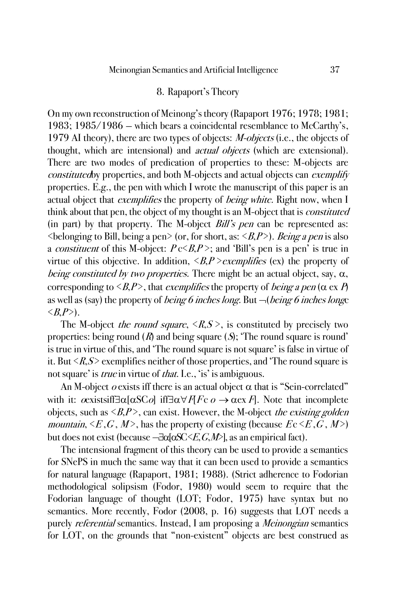### 8. Rapaport's Theory

On my own reconstruction of Meinong's theory (Rapaport 1976; 1978; 1981; 1983; 1985/1986 — which bears a coincidental resemblance to McCarthy's, 1979 AI theory), there are two types of objects: *M-objects* (i.e., the objects of thought, which are intensional) and *actual objects* (which are extensional). There are two modes of predication of properties to these: M-objects are constitutedby properties, and both M-objects and actual objects can exemplify properties. E.g., the pen with which I wrote the manuscript of this paper is an actual object that *exemplifies* the property of *being white*. Right now, when I think about that pen, the object of my thought is an M-object that is *constituted* (in part) by that property. The M-object  $Bill's$  pen can be represented as:  $\leq$ belonging to Bill, being a pen $\geq$  (or, for short, as:  $\leq$ B,P $\geq$ ). Being a pen is also a *constituent* of this M-object:  $P \in \langle B, P \rangle$ ; and 'Bill's pen is a pen' is true in virtue of this objective. In addition,  $\langle B, P \rangle$  exemplifies (ex) the property of being constituted by two properties. There might be an actual object, say,  $\alpha$ , corresponding to  $\langle B, P \rangle$ , that exemplifies the property of *being a pen* ( $\alpha \propto P$ ) as well as (say) the property of *being 6 inches long*. But  $\neg$  *(being 6 inches longe*)  $\langle R.P \rangle$ .

The M-object *the round square*,  $\langle R, S \rangle$ , is constituted by precisely two properties: being round  $(R)$  and being square  $(S)$ ; The round square is round' is true in virtue of this, and 'The round square is not square' is false in virtue of it. But  $\langle R,S \rangle$  exemplifies neither of those properties, and 'The round square is not square' is *true* in virtue of *that*. I.e., 'is' is ambiguous.

An M-object  $o$  exists iff there is an actual object  $\alpha$  that is "Sein-correlated" with it:  $\alpha$  exists if  $\exists \alpha [\alpha SC\omega]$  if  $\exists \alpha \forall F$   $F \in \alpha \rightarrow \alpha \infty F$ . Note that incomplete objects, such as  $\langle B, P \rangle$ , can exist. However, the M-object *the existing golden* mountain,  $\langle E, G, M \rangle$ , has the property of existing (because  $E \in \langle E, G, M \rangle$ ) but does not exist (because  $-\frac{1}{d} \alpha S C \langle E, G, M \rangle$ , as an empirical fact).

The intensional fragment of this theory can be used to provide a semantics for SNePS in much the same way that it can been used to provide a semantics for natural language (Rapaport, 1981; 1988). (Strict adherence to Fodorian methodological solipsism (Fodor, 1980) would seem to require that the Fodorian language of thought (LOT; Fodor, 1975) have syntax but no semantics. More recently, Fodor (2008, p. 16) suggests that LOT needs a purely *referential* semantics. Instead, I am proposing a *Meinongian* semantics for LOT, on the grounds that "non-existent" objects are best construed as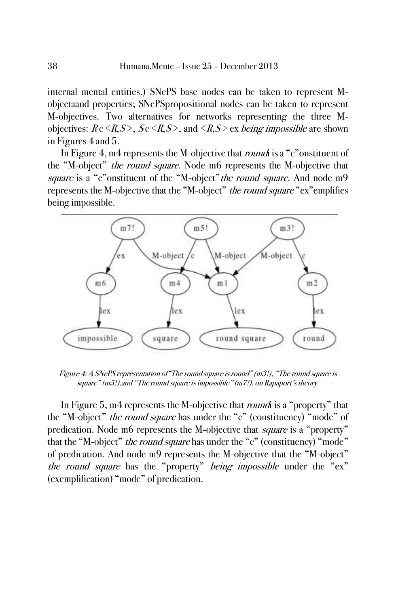internal mental entities.) SNePS base nodes can be taken to represent Mobjectaand properties; SNePSpropositional nodes can be taken to represent M-objectives. Two alternatives for networks representing the three Mobjectives:  $R \in \langle R, S \rangle$ ,  $S \in \langle R, S \rangle$ , and  $\langle R, S \rangle$  ex being impossible are shown in Figures 4 and 5.

In Figure 4, m4 represents the M-objective that *round* is a "c" onstituent of the "M-object" *the round square*. Node m6 represents the M-objective that square is a "c"onstituent of the "M-object" the round square. And node m9 represents the M-objective that the "M-object" *the round square* "ex" emplifies being impossible.



Figure 4: A SNePS representation of"The round square is round" (m3!), "The round square is square" (m5!),and "The round square is impossible" (m7!), on Rapaport's theory.

In Figure 5, m4 represents the M-objective that *round* is a "property" that the "M-object" *the round square* has under the "c" (constituency) "mode" of predication. Node m6 represents the M-objective that *square* is a "property" that the "M-object" *the round square* has under the "c" (constituency) "mode" of predication. And node m9 represents the M-objective that the "M-object" the round square has the "property" being impossible under the "ex" (exemplification) "mode" of predication.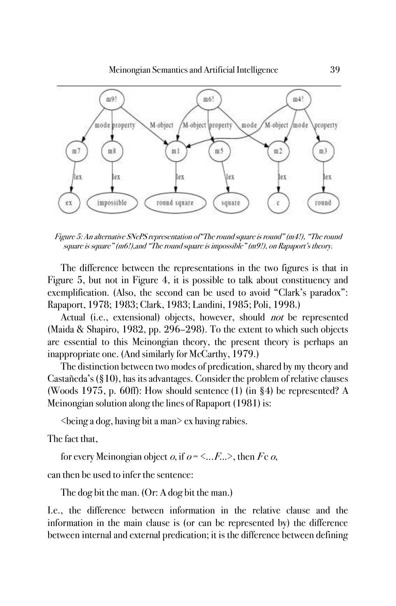

Figure 5: An alternative SNePS representation of"The round square is round" (m4!), "The round square is square" (m6!),and "The round square is impossible" (m9!), on Rapaport's theory.

The difference between the representations in the two figures is that in Figure 5, but not in Figure 4, it is possible to talk about constituency and exemplification. (Also, the second can be used to avoid "Clark's paradox": Rapaport, 1978; 1983; Clark, 1983; Landini, 1985; Poli, 1998.)

Actual (i.e., extensional) objects, however, should *not* be represented (Maida & Shapiro, 1982, pp. 296–298). To the extent to which such objects are essential to this Meinongian theory, the present theory is perhaps an inappropriate one. (And similarly for McCarthy, 1979.)

The distinction between two modes of predication, shared by my theory and Castañeda's (§10), has its advantages. Consider the problem of relative clauses (Woods 1975, p. 60ff): How should sentence (1) (in §4) be represented? A Meinongian solution along the lines of Rapaport (1981) is:

<being a dog, having bit a man> ex having rabies.

The fact that,

for every Meinongian object  $o$ , if  $o = \langle ... F \rangle$ , then Fc  $o$ ,

can then be used to infer the sentence:

The dog bit the man. (Or: A dog bit the man.)

I.e., the difference between information in the relative clause and the information in the main clause is (or can be represented by) the difference between internal and external predication; it is the difference between defining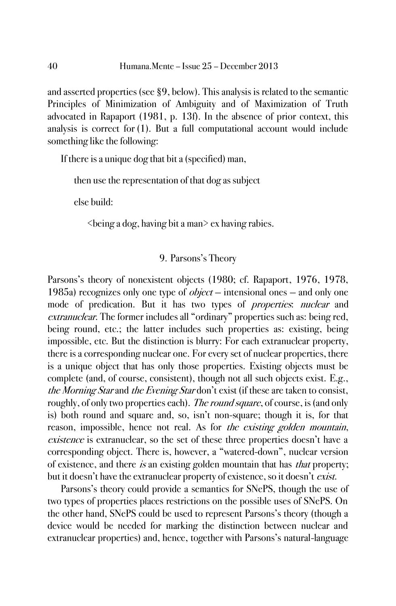and asserted properties (see §9, below). This analysis is related to the semantic Principles of Minimization of Ambiguity and of Maximization of Truth advocated in Rapaport (1981, p. 13f). In the absence of prior context, this analysis is correct for (1). But a full computational account would include something like the following:

If there is a unique dog that bit a (specified) man,

then use the representation of that dog as subject

else build:

 $\leq$ being a dog, having bit a man $\geq$  ex having rabies.

### 9. Parsons's Theory

Parsons's theory of nonexistent objects (1980; cf. Rapaport, 1976, 1978, 1985a) recognizes only one type of  $object$  – intensional ones – and only one mode of predication. But it has two types of *properties*: *nuclear* and extranuclear. The former includes all "ordinary" properties such as: being red, being round, etc.; the latter includes such properties as: existing, being impossible, etc. But the distinction is blurry: For each extranuclear property, there is a corresponding nuclear one. For every set of nuclear properties, there is a unique object that has only those properties. Existing objects must be complete (and, of course, consistent), though not all such objects exist. E.g., the Morning Star and the Evening Star don't exist (if these are taken to consist, roughly, of only two properties each). The round square, of course, is (and only is) both round and square and, so, isn't non-square; though it is, for that reason, impossible, hence not real. As for the existing golden mountain, existence is extranuclear, so the set of these three properties doesn't have a corresponding object. There is, however, a "watered-down", nuclear version of existence, and there is an existing golden mountain that has *that* property; but it doesn't have the extranuclear property of existence, so it doesn't *exist*.

Parsons's theory could provide a semantics for SNePS, though the use of two types of properties places restrictions on the possible uses of SNePS. On the other hand, SNePS could be used to represent Parsons's theory (though a device would be needed for marking the distinction between nuclear and extranuclear properties) and, hence, together with Parsons's natural-language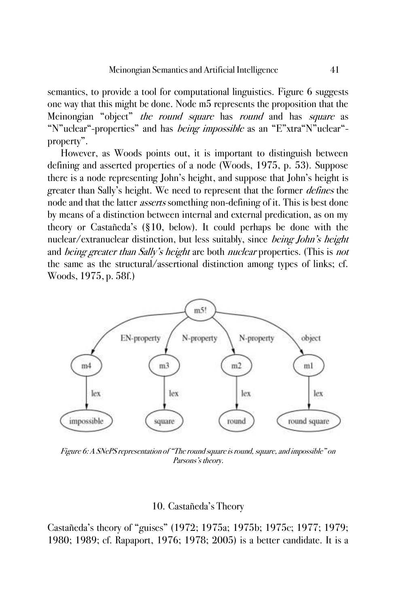semantics, to provide a tool for computational linguistics. Figure 6 suggests one way that this might be done. Node m5 represents the proposition that the Meinongian "object" the round square has round and has square as "N"uclear"-properties" and has *being impossible* as an "E"xtra"N"uclear"property".

However, as Woods points out, it is important to distinguish between defining and asserted properties of a node (Woods, 1975, p. 53). Suppose there is a node representing John's height, and suppose that John's height is greater than Sally's height. We need to represent that the former *defines* the node and that the latter *asserts* something non-defining of it. This is best done by means of a distinction between internal and external predication, as on my theory or Castañeda's (§10, below). It could perhaps be done with the nuclear/extranuclear distinction, but less suitably, since *being John's height* and *being greater than Sally's height* are both *nuclear* properties. (This is *not* the same as the structural/assertional distinction among types of links; cf. Woods, 1975, p. 58f.)



Figure 6: A SNePS representation of "The round square is round, square, and impossible" on Parsons's theory.

### 10. Castañeda's Theory

Castañeda's theory of "guises" (1972; 1975a; 1975b; 1975c; 1977; 1979; 1980; 1989; cf. Rapaport, 1976; 1978; 2005) is a better candidate. It is a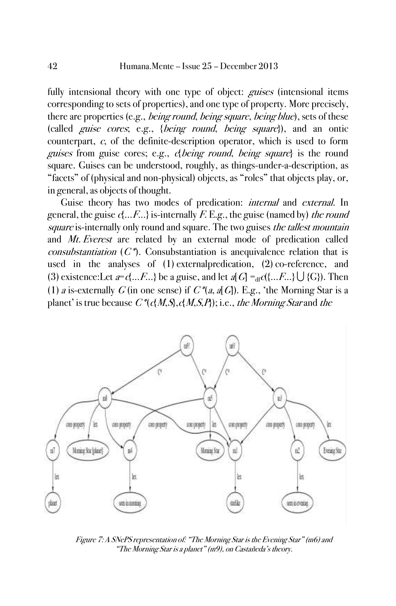fully intensional theory with one type of object: *guises* (intensional items corresponding to sets of properties), and one type of property. More precisely, there are properties (e.g., *being round, being square, being blue*), sets of these (called guise cores; e.g., {being round, being square}), and an ontic counterpart, c, of the definite-description operator, which is used to form guises from guise cores; e.g., c{being round, being square} is the round square. Guises can be understood, roughly, as things-under-a-description, as "facets" of (physical and non-physical) objects, as "roles" that objects play, or, in general, as objects of thought.

Guise theory has two modes of predication: *internal* and *external*. In general, the guise  $\mathcal{A} \dots \mathcal{F} \dots$  is-internally F. E.g., the guise (named by) the round square is-internally only round and square. The two guises the tallest mountain and Mt. Everest are related by an external mode of predication called *consubstantiation*  $(C^*)$ . Consubstantiation is anequivalence relation that is used in the analyses of (1) externalpredication, (2) co-reference, and (3) existence:Let  $a = c\{...F...\}$  be a guise, and let  $a[G] =_{df} c\{(...F...\} \bigcup \{G\}$ . Then (1) a is-externally G (in one sense) if  $C^*\left(a, a\right)G$ ). E.g., 'the Morning Star is a planet' is true because  $C^*(\mathcal{A} M, S, \mathcal{A} M, S, P)$ ; i.e., the Morning Star and the



Figure 7: A SNePS representation of: "The Morning Star is the Evening Star" (m6) and "The Morning Star is a planet" (m9), on Castañeda's theory.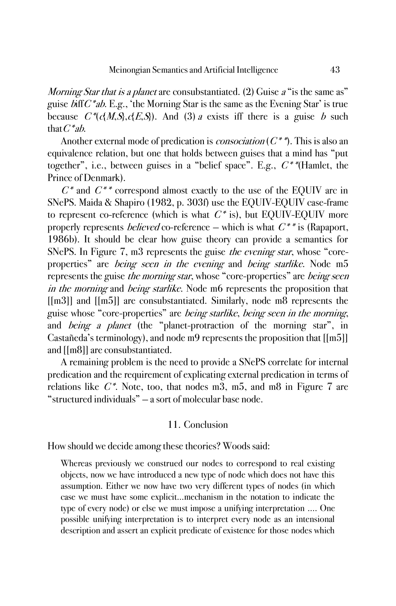Morning Star that is a planet are consubstantiated. (2) Guise a "is the same as" guise  $\mathcal{L}^*$ ab. E.g., 'the Morning Star is the same as the Evening Star' is true because  $C^*(c(M,S),c(E,S))$ . And (3) a exists iff there is a guise b such that  $C^*ab$ .

Another external mode of predication is *consociation* ( $C^*$ )<sup>\*</sup>). This is also an equivalence relation, but one that holds between guises that a mind has "put together", i.e., between guises in a "belief space". E.g.,  $C^*$ "(Hamlet, the Prince of Denmark).

 $C^*$  and  $C^{**}$  correspond almost exactly to the use of the EQUIV arc in SNePS. Maida & Shapiro (1982, p. 303f) use the EQUIV-EQUIV case-frame to represent co-reference (which is what  $C^*$  is), but EQUIV-EQUIV more properly represents *believed* co-reference – which is what  $C^{**}$  is (Rapaport, 1986b). It should be clear how guise theory can provide a semantics for SNePS. In Figure 7, m3 represents the guise *the evening star*, whose "coreproperties" are *being seen in the evening* and *being starlike*. Node m5 represents the guise *the morning star*, whose "core-properties" are *being seen* in the morning and being starlike. Node m6 represents the proposition that [[m3]] and [[m5]] are consubstantiated. Similarly, node m8 represents the guise whose "core-properties" are *being starlike*, *being seen in the morning*, and *being a planet* (the "planet-protraction of the morning star", in Castañeda's terminology), and node m9 represents the proposition that [[m5]] and [[m8]] are consubstantiated.

A remaining problem is the need to provide a SNePS correlate for internal predication and the requirement of explicating external predication in terms of relations like  $C^*$ . Note, too, that nodes m3, m5, and m8 in Figure 7 are "structured individuals" — a sort of molecular base node.

### 11. Conclusion

How should we decide among these theories? Woods said:

Whereas previously we construed our nodes to correspond to real existing objects, now we have introduced a new type of node which does not have this assumption. Either we now have two very different types of nodes (in which case we must have some explicit...mechanism in the notation to indicate the type of every node) or else we must impose a unifying interpretation .... One possible unifying interpretation is to interpret every node as an intensional description and assert an explicit predicate of existence for those nodes which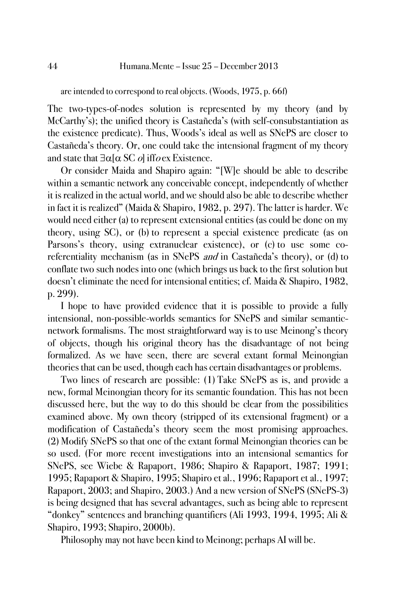are intended to correspond to real objects. (Woods, 1975, p. 66f)

The two-types-of-nodes solution is represented by my theory (and by McCarthy's); the unified theory is Castañeda's (with self-consubstantiation as the existence predicate). Thus, Woods's ideal as well as SNePS are closer to Castañeda's theory. Or, one could take the intensional fragment of my theory and state that  $\exists \alpha \alpha \in S \cap C$  ifform Existence.

Or consider Maida and Shapiro again: "[W]e should be able to describe within a semantic network any conceivable concept, independently of whether it is realized in the actual world, and we should also be able to describe whether in fact it is realized" (Maida & Shapiro, 1982, p. 297). The latter is harder. We would need either (a) to represent extensional entities (as could be done on my theory, using SC), or (b) to represent a special existence predicate (as on Parsons's theory, using extranuclear existence), or (c) to use some coreferentiality mechanism (as in SNePS *and* in Castañeda's theory), or (d) to conflate two such nodes into one (which brings us back to the first solution but doesn't eliminate the need for intensional entities; cf. Maida & Shapiro, 1982, p. 299).

I hope to have provided evidence that it is possible to provide a fully intensional, non-possible-worlds semantics for SNePS and similar semanticnetwork formalisms. The most straightforward way is to use Meinong's theory of objects, though his original theory has the disadvantage of not being formalized. As we have seen, there are several extant formal Meinongian theories that can be used, though each has certain disadvantages or problems.

Two lines of research are possible: (1) Take SNePS as is, and provide a new, formal Meinongian theory for its semantic foundation. This has not been discussed here, but the way to do this should be clear from the possibilities examined above. My own theory (stripped of its extensional fragment) or a modification of Castañeda's theory seem the most promising approaches. (2) Modify SNePS so that one of the extant formal Meinongian theories can be so used. (For more recent investigations into an intensional semantics for SNePS, see Wiebe & Rapaport, 1986; Shapiro & Rapaport, 1987; 1991; 1995; Rapaport & Shapiro, 1995; Shapiro et al., 1996; Rapaport et al., 1997; Rapaport, 2003; and Shapiro, 2003.) And a new version of SNePS (SNePS-3) is being designed that has several advantages, such as being able to represent "donkey" sentences and branching quantifiers (Ali 1993, 1994, 1995; Ali & Shapiro, 1993; Shapiro, 2000b).

Philosophy may not have been kind to Meinong; perhaps AI will be.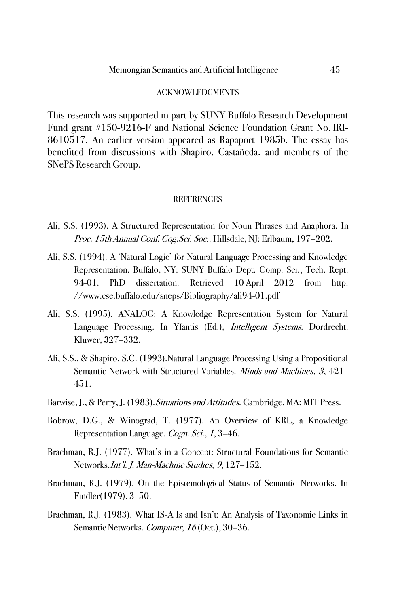#### ACKNOWLEDGMENTS

This research was supported in part by SUNY Buffalo Research Development Fund grant #150-9216-F and National Science Foundation Grant No. IRI-8610517. An earlier version appeared as Rapaport 1985b. The essay has benefited from discussions with Shapiro, Castañeda, and members of the SNePS Research Group.

### **REFERENCES**

- Ali, S.S. (1993). A Structured Representation for Noun Phrases and Anaphora. In Proc. 15th Annual Conf. Cog. Sci. Soc.. Hillsdale, NJ: Erlbaum, 197-202.
- Ali, S.S. (1994). A 'Natural Logic' for Natural Language Processing and Knowledge Representation. Buffalo, NY: SUNY Buffalo Dept. Comp. Sci., Tech. Rept. 94-01. PhD dissertation. Retrieved 10 April 2012 from http: //www.cse.buffalo.edu/sneps/Bibliography/ali94-01.pdf
- Ali, S.S. (1995). ANALOG: A Knowledge Representation System for Natural Language Processing. In Yfantis (Ed.), *Intelligent Systems*. Dordrecht: Kluwer, 327–332.
- Ali, S.S., & Shapiro, S.C. (1993).Natural Language Processing Using a Propositional Semantic Network with Structured Variables. Minds and Machines, 3, 421-451.
- Barwise, J., & Perry, J. (1983). Situations and Attitudes. Cambridge, MA: MIT Press.
- Bobrow, D.G., & Winograd, T. (1977). An Overview of KRL, a Knowledge Representation Language. Cogn. Sci., 1, 3-46.
- Brachman, R.J. (1977). What's in a Concept: Structural Foundations for Semantic Networks.Int'l. J. Man-Machine Studies, 9, 127–152.
- Brachman, R.J. (1979). On the Epistemological Status of Semantic Networks. In Findler(1979), 3–50.
- Brachman, R.J. (1983). What IS-A Is and Isn't: An Analysis of Taxonomic Links in Semantic Networks. Computer, 16 (Oct.), 30-36.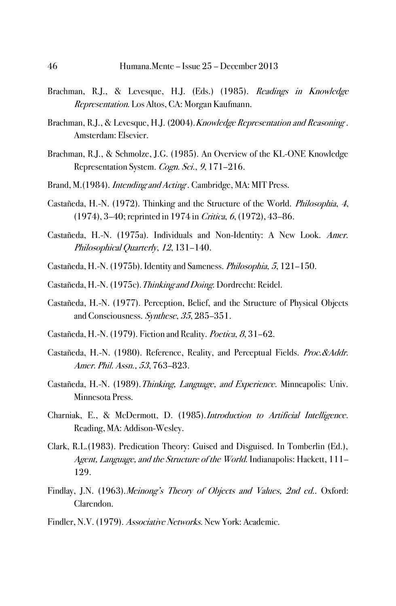- Brachman, R.J., & Levesque, H.J. (Eds.) (1985). Readings in Knowledge Representation. Los Altos, CA: Morgan Kaufmann.
- Brachman, R.J., & Levesque, H.J. (2004). *Knowledge Representation and Reasoning*. Amsterdam: Elsevier.
- Brachman, R.J., & Schmolze, J.G. (1985). An Overview of the KL-ONE Knowledge Representation System. Cogn. Sci., 9, 171–216.
- Brand, M.(1984). *Intending and Acting*. Cambridge, MA: MIT Press.
- Castañeda, H.-N. (1972). Thinking and the Structure of the World. Philosophia, 4, (1974), 3–40; reprinted in 1974 in Critica, 6, (1972), 43–86.
- Castañeda, H.-N. (1975a). Individuals and Non-Identity: A New Look. Amer. Philosophical Quarterly, 12, 131-140.
- Castañeda, H.-N. (1975b). Identity and Sameness. Philosophia, 5, 121–150.
- Castañeda, H.-N. (1975c).Thinking and Doing. Dordrecht: Reidel.
- Castañeda, H.-N. (1977). Perception, Belief, and the Structure of Physical Objects and Consciousness. Synthese, 35, 285–351.
- Castañeda, H.-N. (1979). Fiction and Reality. Poetica, 8, 31–62.
- Castañeda, H.-N. (1980). Reference, Reality, and Perceptual Fields. Proc. & Addr. Amer. Phil. Assn., 53, 763–823.
- Castañeda, H.-N. (1989).Thinking, Language, and Experience. Minneapolis: Univ. Minnesota Press.
- Charniak, E., & McDermott, D. (1985).Introduction to Artificial Intelligence. Reading, MA: Addison-Wesley.
- Clark, R.L.(1983). Predication Theory: Guised and Disguised. In Tomberlin (Ed.), Agent, Language, and the Structure of the World. Indianapolis: Hackett, 111-129.
- Findlay, J.N. (1963). Meinong's Theory of Objects and Values, 2nd ed.. Oxford: Clarendon.
- Findler, N.V. (1979). Associative Networks. New York: Academic.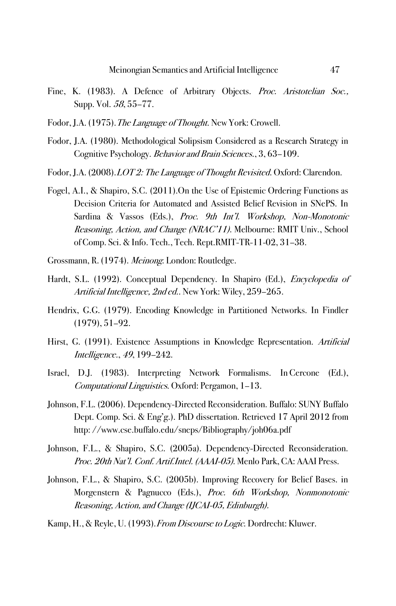- Fine, K. (1983). A Defence of Arbitrary Objects. Proc. Aristotelian Soc., Supp. Vol. 58, 55–77.
- Fodor, J.A. (1975). *The Language of Thought*. New York: Crowell.
- Fodor, J.A. (1980). Methodological Solipsism Considered as a Research Strategy in Cognitive Psychology. Behavior and Brain Sciences., 3, 63–109.
- Fodor, J.A. (2008). LOT 2: The Language of Thought Revisited. Oxford: Clarendon.
- Fogel, A.I., & Shapiro, S.C. (2011).On the Use of Epistemic Ordering Functions as Decision Criteria for Automated and Assisted Belief Revision in SNePS. In Sardina & Vassos (Eds.), Proc. 9th Int'l. Workshop, Non-Monotonic Reasoning, Action, and Change (NRAC'11). Melbourne: RMIT Univ., School of Comp. Sci. & Info. Tech., Tech. Rept.RMIT-TR-11-02, 31–38.
- Grossmann, R. (1974). Meinong. London: Routledge.
- Hardt, S.L. (1992). Conceptual Dependency. In Shapiro (Ed.), *Encyclopedia of* Artificial Intelligence, 2nd ed.. New York: Wiley, 259–265.
- Hendrix, G.G. (1979). Encoding Knowledge in Partitioned Networks. In Findler (1979), 51–92.
- Hirst, G. (1991). Existence Assumptions in Knowledge Representation. Artificial Intelligence., 49, 199–242.
- Israel, D.J. (1983). Interpreting Network Formalisms. In Cercone (Ed.), Computational Linguistics. Oxford: Pergamon, 1–13.
- Johnson, F.L. (2006). Dependency-Directed Reconsideration. Buffalo: SUNY Buffalo Dept. Comp. Sci. & Eng'g.). PhD dissertation. Retrieved 17 April 2012 from http: //www.cse.buffalo.edu/sneps/Bibliography/joh06a.pdf
- Johnson, F.L., & Shapiro, S.C. (2005a). Dependency-Directed Reconsideration. Proc. 20th Nat'l. Conf. Artif.Intel. (AAAI-05). Menlo Park, CA: AAAI Press.
- Johnson, F.L., & Shapiro, S.C. (2005b). Improving Recovery for Belief Bases. in Morgenstern & Pagnucco (Eds.), Proc. 6th Workshop, Nonmonotonic Reasoning, Action, and Change (IJCAI-05, Edinburgh).

Kamp, H., & Reyle, U. (1993). *From Discourse to Logic*. Dordrecht: Kluwer.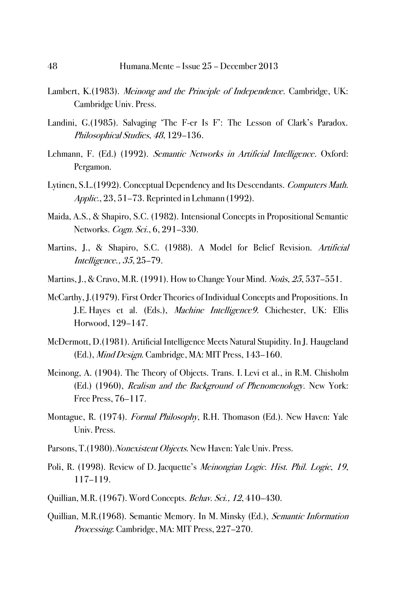- Lambert, K.(1983). *Meinong and the Principle of Independence*. Cambridge, UK: Cambridge Univ. Press.
- Landini, G.(1985). Salvaging 'The F-er Is F': The Lesson of Clark's Paradox. Philosophical Studies, 48, 129–136.
- Lehmann, F. (Ed.) (1992). *Semantic Networks in Artificial Intelligence*. Oxford: Pergamon.
- Lytinen, S.L.(1992). Conceptual Dependency and Its Descendants. Computers Math. Applic., 23, 51–73. Reprinted in Lehmann (1992).
- Maida, A.S., & Shapiro, S.C. (1982). Intensional Concepts in Propositional Semantic Networks. *Cogn. Sci.*, 6, 291–330.
- Martins, J., & Shapiro, S.C. (1988). A Model for Belief Revision. Artificial Intelligence., 35, 25–79.
- Martins, J., & Cravo, M.R. (1991). How to Change Your Mind. Noûs, 25, 537-551.
- McCarthy, J.(1979). First Order Theories of Individual Concepts and Propositions. In J.E. Hayes et al. (Eds.), Machine Intelligence9. Chichester, UK: Ellis Horwood, 129–147.
- McDermott, D.(1981). Artificial Intelligence Meets Natural Stupidity. In J. Haugeland (Ed.), Mind Design. Cambridge, MA: MIT Press, 143–160.
- Meinong, A. (1904). The Theory of Objects. Trans. I. Levi et al., in R.M. Chisholm (Ed.) (1960), Realism and the Background of Phenomenology. New York: Free Press, 76–117.
- Montague, R. (1974). *Formal Philosophy*, R.H. Thomason (Ed.). New Haven: Yale Univ. Press.
- Parsons, T.(1980). Nonexistent Objects. New Haven: Yale Univ. Press.
- Poli, R. (1998). Review of D. Jacquette's Meinongian Logic. Hist. Phil. Logic, 19, 117–119.
- Quillian, M.R. (1967). Word Concepts. Behav. Sci., 12, 410–430.
- Quillian, M.R.(1968). Semantic Memory. In M. Minsky (Ed.), Semantic Information Processing. Cambridge, MA: MIT Press, 227–270.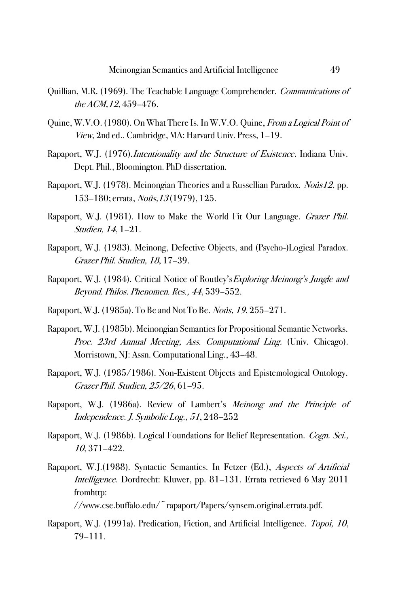- Quillian, M.R. (1969). The Teachable Language Comprehender. Communications of the ACM,12, 459–476.
- Quine, W.V.O. (1980). On What There Is. In W.V.O. Quine, *From a Logical Point of* View, 2nd ed.. Cambridge, MA: Harvard Univ. Press, 1–19.
- Rapaport, W.J. (1976).*Intentionality and the Structure of Existence*. Indiana Univ. Dept. Phil., Bloomington. PhD dissertation.
- Rapaport, W.J. (1978). Meinongian Theories and a Russellian Paradox. Noûs12, pp. 153–180; errata, Noûs,13 (1979), 125.
- Rapaport, W.J. (1981). How to Make the World Fit Our Language. *Grazer Phil.* Studien, 14, 1–21.
- Rapaport, W.J. (1983). Meinong, Defective Objects, and (Psycho-)Logical Paradox. Grazer Phil. Studien, 18, 17–39.
- Rapaport, W.J. (1984). Critical Notice of Routley's *Exploring Meinong's Jungle and* Beyond. Philos. Phenomen. Res., <sup>44</sup>, 539–552.
- Rapaport, W.J. (1985a). To Be and Not To Be. *Noûs, 19*, 255–271.
- Rapaport, W.J. (1985b). Meinongian Semantics for Propositional Semantic Networks. Proc. 23rd Annual Meeting, Ass. Computational Ling. (Univ. Chicago). Morristown, NJ: Assn. Computational Ling., 43–48.
- Rapaport, W.J. (1985/1986). Non-Existent Objects and Epistemological Ontology. Grazer Phil. Studien, 25/26, 61–95.
- Rapaport, W.J. (1986a). Review of Lambert's Meinong and the Principle of Independence. J. Symbolic Log., 51, 248–252
- Rapaport, W.J. (1986b). Logical Foundations for Belief Representation. Cogn. Sci., 10, 371–422.
- Rapaport, W.J.(1988). Syntactic Semantics. In Fetzer (Ed.), Aspects of Artificial Intelligence. Dordrecht: Kluwer, pp. 81–131. Errata retrieved 6 May 2011 fromhttp:

//www.cse.buffalo.edu/~rapaport/Papers/synsem.original.errata.pdf.

Rapaport, W.J. (1991a). Predication, Fiction, and Artificial Intelligence. Topoi, 10, 79–111.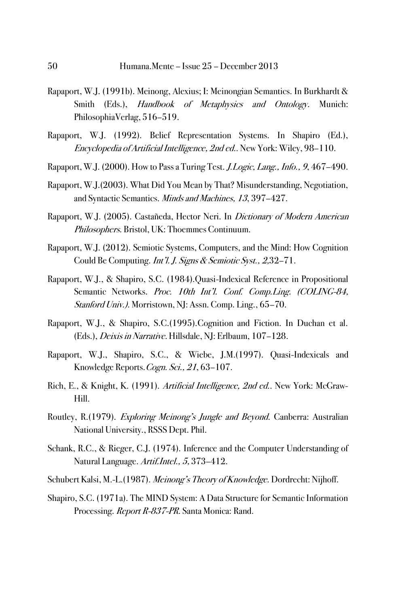- Rapaport, W.J. (1991b). Meinong, Alexius; I: Meinongian Semantics. In Burkhardt & Smith (Eds.), Handbook of Metaphysics and Ontology. Munich: PhilosophiaVerlag, 516–519.
- Rapaport, W.J. (1992). Belief Representation Systems. In Shapiro (Ed.), Encyclopedia of Artificial Intelligence, 2nd ed.. New York: Wiley, 98–110.
- Rapaport, W.J. (2000). How to Pass a Turing Test. J.Logic, Lang., Info., 9, 467–490.
- Rapaport, W.J.(2003). What Did You Mean by That? Misunderstanding, Negotiation, and Syntactic Semantics. Minds and Machines, 13, 397–427.
- Rapaport, W.J. (2005). Castañeda, Hector Neri. In Dictionary of Modern American Philosophers. Bristol, UK: Thoemmes Continuum.
- Rapaport, W.J. (2012). Semiotic Systems, Computers, and the Mind: How Cognition Could Be Computing. Int'l. J. Signs & Semiotic Syst., 2,32–71.
- Rapaport, W.J., & Shapiro, S.C. (1984).Quasi-Indexical Reference in Propositional Semantic Networks. Proc. 10th Int'l. Conf. Comp. Ling. (COLING-84, Stanford Univ.). Morristown, NJ: Assn. Comp. Ling., 65–70.
- Rapaport, W.J., & Shapiro, S.C.(1995).Cognition and Fiction. In Duchan et al. (Eds.), Deixis in Narrative. Hillsdale, NJ: Erlbaum, 107–128.
- Rapaport, W.J., Shapiro, S.C., & Wiebe, J.M.(1997). Quasi-Indexicals and Knowledge Reports. Cogn. Sci., 21, 63-107.
- Rich, E., & Knight, K. (1991). Artificial Intelligence, 2nd ed. New York: McGraw-Hill.
- Routley, R.(1979). Exploring Meinong's Jungle and Beyond. Canberra: Australian National University., RSSS Dept. Phil.
- Schank, R.C., & Rieger, C.J. (1974). Inference and the Computer Understanding of Natural Language. Artif.Intel., 5, 373–412.
- Schubert Kalsi, M.-L.(1987). Meinong's Theory of Knowledge. Dordrecht: Nijhoff.
- Shapiro, S.C. (1971a). The MIND System: A Data Structure for Semantic Information Processing. Report R-837-PR. Santa Monica: Rand.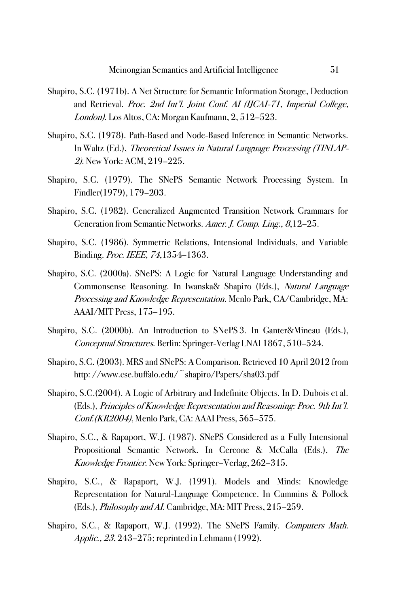- Shapiro, S.C. (1971b). A Net Structure for Semantic Information Storage, Deduction and Retrieval. Proc. 2nd Int'l. Joint Conf. AI (IJCAI-71, Imperial College, London). Los Altos, CA: Morgan Kaufmann, 2, 512–523.
- Shapiro, S.C. (1978). Path-Based and Node-Based Inference in Semantic Networks. In Waltz (Ed.), Theoretical Issues in Natural Language Processing (TINLAP-2). New York: ACM, 219–225.
- Shapiro, S.C. (1979). The SNePS Semantic Network Processing System. In Findler(1979), 179–203.
- Shapiro, S.C. (1982). Generalized Augmented Transition Network Grammars for Generation from Semantic Networks. Amer. J. Comp. Ling., <sup>8</sup>,12–25.
- Shapiro, S.C. (1986). Symmetric Relations, Intensional Individuals, and Variable Binding. Proc. IEEE, 74,1354–1363.
- Shapiro, S.C. (2000a). SNePS: A Logic for Natural Language Understanding and Commonsense Reasoning. In Iwanska& Shapiro (Eds.), Natural Language Processing and Knowledge Representation. Menlo Park, CA/Cambridge, MA: AAAI/MIT Press, 175–195.
- Shapiro, S.C. (2000b). An Introduction to SNePS 3. In Ganter&Mineau (Eds.), Conceptual Structures. Berlin: Springer-Verlag LNAI 1867, 510–524.
- Shapiro, S.C. (2003). MRS and SNePS: A Comparison. Retrieved 10 April 2012 from http://www.cse.buffalo.edu/~shapiro/Papers/sha03.pdf
- Shapiro, S.C.(2004). A Logic of Arbitrary and Indefinite Objects. In D. Dubois et al. (Eds.), Principles of Knowledge Representation and Reasoning: Proc. 9th Int'l. Conf.(KR2004), Menlo Park, CA: AAAI Press, 565–575.
- Shapiro, S.C., & Rapaport, W.J. (1987). SNePS Considered as a Fully Intensional Propositional Semantic Network. In Cercone & McCalla (Eds.), The Knowledge Frontier. New York: Springer–Verlag, 262–315.
- Shapiro, S.C., & Rapaport, W.J. (1991). Models and Minds: Knowledge Representation for Natural-Language Competence. In Cummins & Pollock (Eds.), Philosophy and AI. Cambridge, MA: MIT Press, 215–259.
- Shapiro, S.C., & Rapaport, W.J. (1992). The SNePS Family. Computers Math. Applic., <sup>23</sup>, 243–275; reprinted in Lehmann (1992).